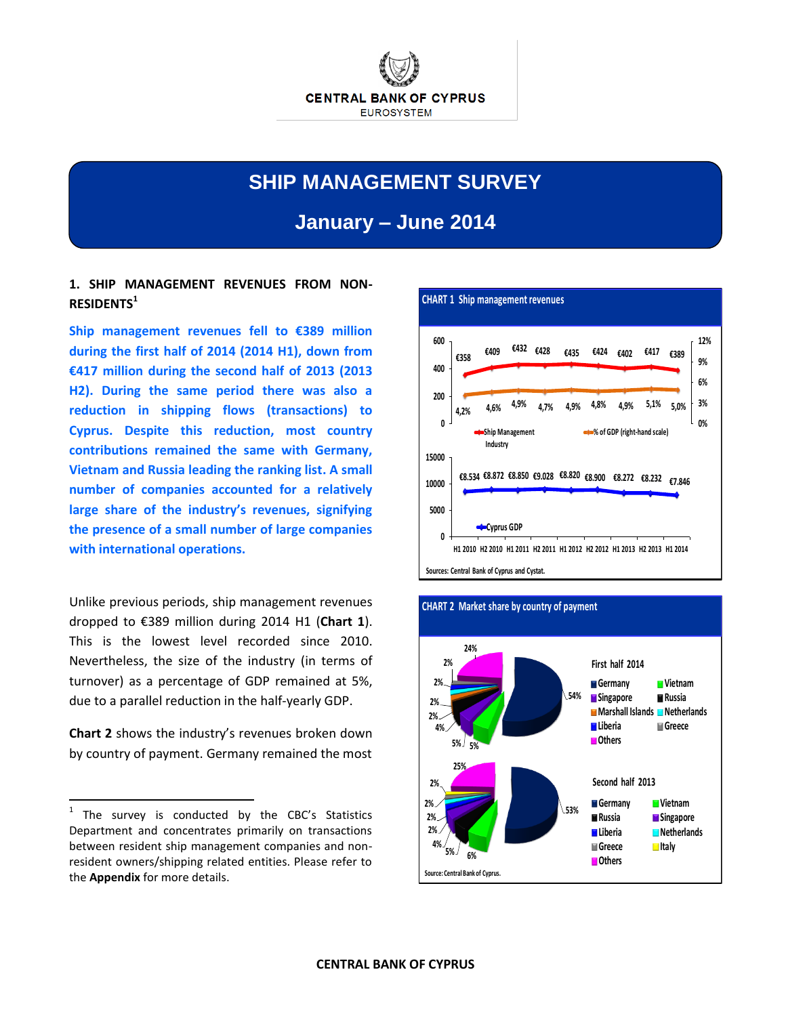

# **SHIP MANAGEMENT SURVEY**

**January – June 2014**

## **1. SHIP MANAGEMENT REVENUES FROM NON-RESIDENTS<sup>1</sup>**

**Ship management revenues fell to €389 million during the first half of 2014 (2014 H1), down from €417 million during the second half of 2013 (2013 H2). During the same period there was also a reduction in shipping flows (transactions) to Cyprus. Despite this reduction, most country contributions remained the same with Germany, Vietnam and Russia leading the ranking list. A small number of companies accounted for a relatively large share of the industry's revenues, signifying the presence of a small number of large companies with international operations.**

Unlike previous periods, ship management revenues dropped to €389 million during 2014 H1 (**Chart 1**). This is the lowest level recorded since 2010. Nevertheless, the size of the industry (in terms of turnover) as a percentage of GDP remained at 5%, due to a parallel reduction in the half-yearly GDP.

**Chart 2** shows the industry's revenues broken down by country of payment. Germany remained the most

 $\overline{a}$ 





### **CHART 2 Market share by country of payment**

 $1$  The survey is conducted by the CBC's Statistics Department and concentrates primarily on transactions between resident ship management companies and nonresident owners/shipping related entities. Please refer to the **Appendix** for more details.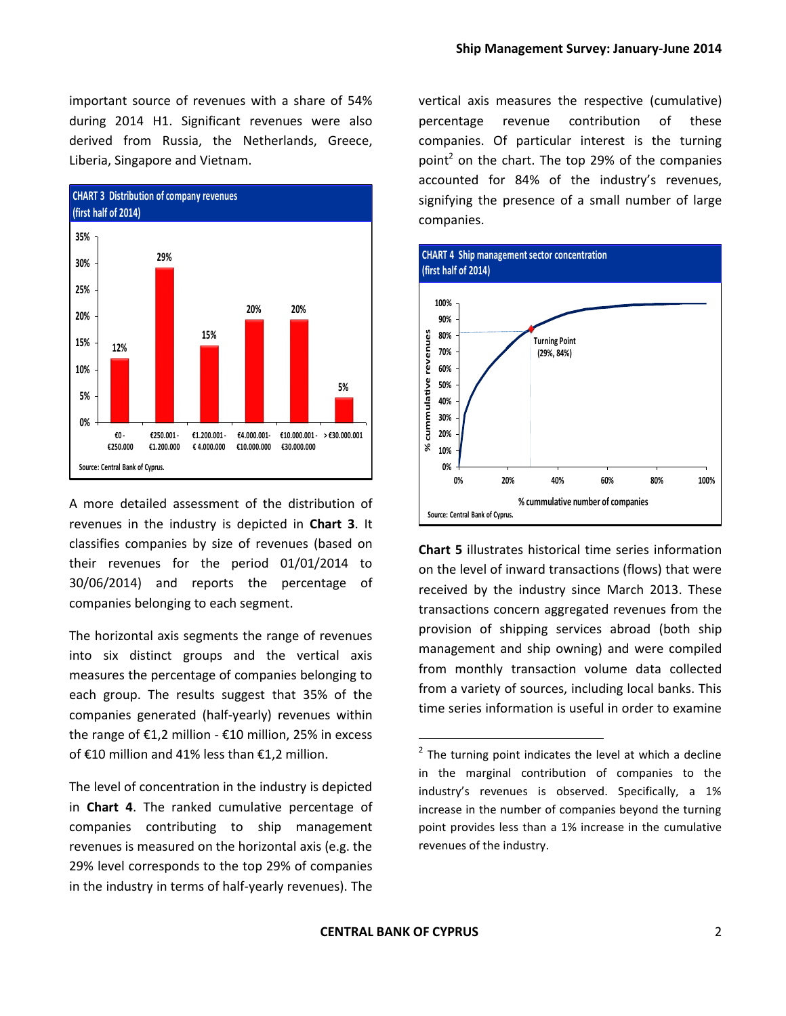important source of revenues with a share of 54% during 2014 H1. Significant revenues were also derived from Russia, the Netherlands, Greece, Liberia, Singapore and Vietnam.



A more detailed assessment of the distribution of revenues in the industry is depicted in **Chart 3**. It classifies companies by size of revenues (based on their revenues for the period 01/01/2014 to 30/06/2014) and reports the percentage of companies belonging to each segment.

The horizontal axis segments the range of revenues into six distinct groups and the vertical axis measures the percentage of companies belonging to each group. The results suggest that 35% of the companies generated (half-yearly) revenues within the range of €1,2 million - €10 million, 25% in excess of €10 million and 41% less than €1,2 million.

The level of concentration in the industry is depicted in **Chart 4**. The ranked cumulative percentage of companies contributing to ship management revenues is measured on the horizontal axis (e.g. the 29% level corresponds to the top 29% of companies in the industry in terms of half-yearly revenues). The

vertical axis measures the respective (cumulative) percentage revenue contribution of these companies. Of particular interest is the turning point<sup>2</sup> on the chart. The top 29% of the companies accounted for 84% of the industry's revenues, signifying the presence of a small number of large companies.



**Chart 5** illustrates historical time series information on the level of inward transactions (flows) that were received by the industry since March 2013. These transactions concern aggregated revenues from the provision of shipping services abroad (both ship management and ship owning) and were compiled from monthly transaction volume data collected from a variety of sources, including local banks. This time series information is useful in order to examine

 $\overline{a}$ 

 $2$  The turning point indicates the level at which a decline in the marginal contribution of companies to the industry's revenues is observed. Specifically, a 1% increase in the number of companies beyond the turning point provides less than a 1% increase in the cumulative revenues of the industry.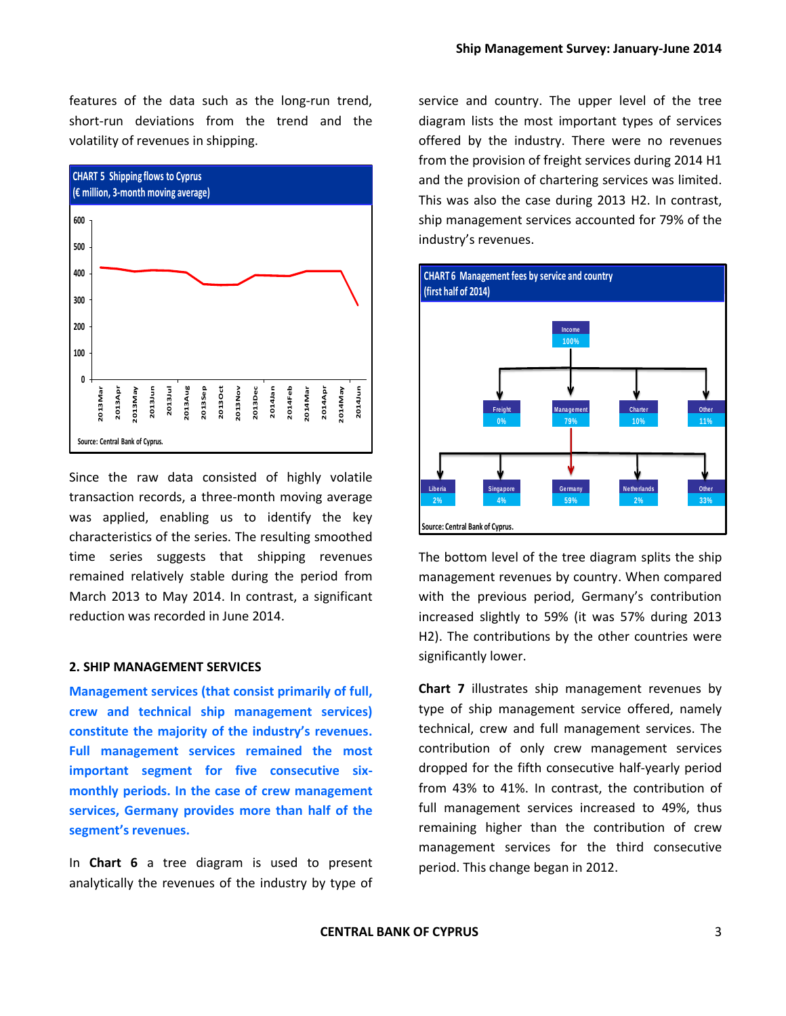features of the data such as the long-run trend, short-run deviations from the trend and the volatility of revenues in shipping.



Since the raw data consisted of highly volatile transaction records, a three-month moving average was applied, enabling us to identify the key characteristics of the series. The resulting smoothed time series suggests that shipping revenues remained relatively stable during the period from March 2013 to May 2014. In contrast, a significant reduction was recorded in June 2014.

#### **2. SHIP MANAGEMENT SERVICES**

**Management services (that consist primarily of full, crew and technical ship management services) constitute the majority of the industry's revenues. Full management services remained the most important segment for five consecutive sixmonthly periods. In the case of crew management services, Germany provides more than half of the segment's revenues.**

In **Chart 6** a tree diagram is used to present analytically the revenues of the industry by type of service and country. The upper level of the tree diagram lists the most important types of services offered by the industry. There were no revenues from the provision of freight services during 2014 H1 and the provision of chartering services was limited. This was also the case during 2013 H2. In contrast, ship management services accounted for 79% of the industry's revenues.



The bottom level of the tree diagram splits the ship management revenues by country. When compared with the previous period, Germany's contribution increased slightly to 59% (it was 57% during 2013 H2). The contributions by the other countries were significantly lower.

**Chart 7** illustrates ship management revenues by type of ship management service offered, namely technical, crew and full management services. The contribution of only crew management services dropped for the fifth consecutive half-yearly period from 43% to 41%. In contrast, the contribution of full management services increased to 49%, thus remaining higher than the contribution of crew management services for the third consecutive period. This change began in 2012.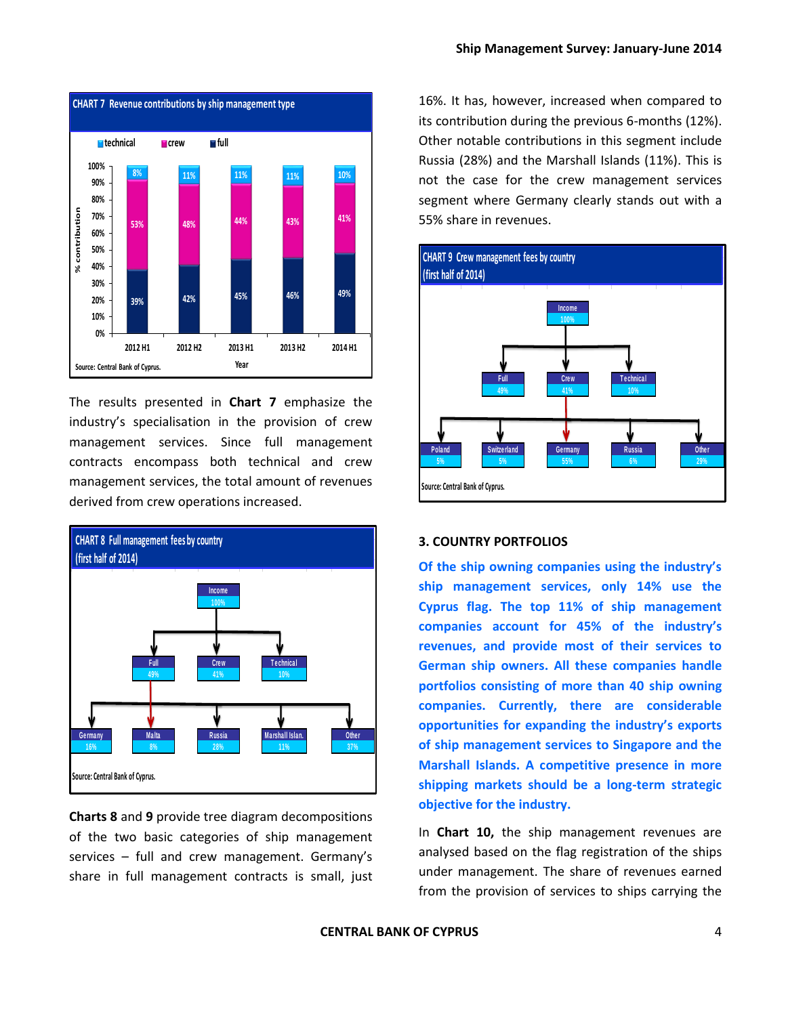

The results presented in **Chart 7** emphasize the industry's specialisation in the provision of crew management services. Since full management contracts encompass both technical and crew management services, the total amount of revenues derived from crew operations increased.



**Charts 8** and **9** provide tree diagram decompositions of the two basic categories of ship management services – full and crew management. Germany's share in full management contracts is small, just

16%. It has, however, increased when compared to its contribution during the previous 6-months (12%). Other notable contributions in this segment include Russia (28%) and the Marshall Islands (11%). This is not the case for the crew management services segment where Germany clearly stands out with a 55% share in revenues.



#### **3. COUNTRY PORTFOLIOS**

**Of the ship owning companies using the industry's ship management services, only 14% use the Cyprus flag. The top 11% of ship management companies account for 45% of the industry's revenues, and provide most of their services to German ship owners. All these companies handle portfolios consisting of more than 40 ship owning companies. Currently, there are considerable opportunities for expanding the industry's exports of ship management services to Singapore and the Marshall Islands. A competitive presence in more shipping markets should be a long-term strategic objective for the industry.**

In **Chart 10,** the ship management revenues are analysed based on the flag registration of the ships under management. The share of revenues earned from the provision of services to ships carrying the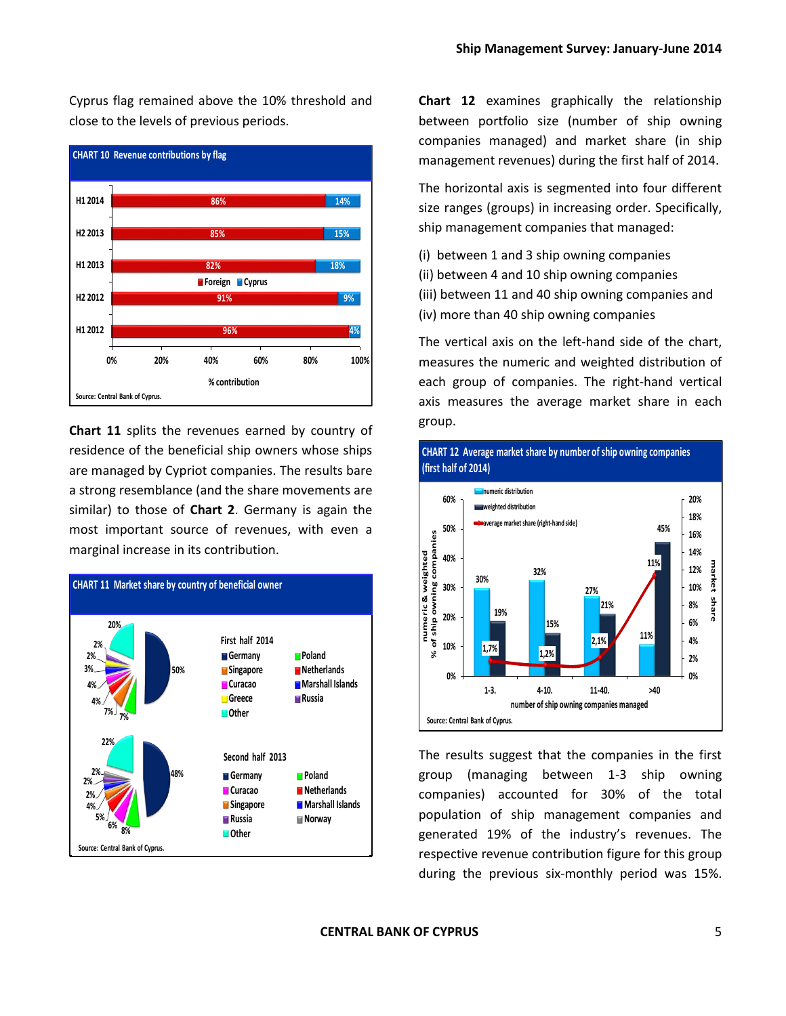Cyprus flag remained above the 10% threshold and close to the levels of previous periods.



**Chart 11** splits the revenues earned by country of residence of the beneficial ship owners whose ships are managed by Cypriot companies. The results bare a strong resemblance (and the share movements are similar) to those of **Chart 2**. Germany is again the most important source of revenues, with even a marginal increase in its contribution.



**Chart 12** examines graphically the relationship between portfolio size (number of ship owning companies managed) and market share (in ship management revenues) during the first half of 2014.

The horizontal axis is segmented into four different size ranges (groups) in increasing order. Specifically, ship management companies that managed:

- (i) between 1 and 3 ship owning companies
- (ii) between 4 and 10 ship owning companies
- (iii) between 11 and 40 ship owning companies and
- (iv) more than 40 ship owning companies

The vertical axis on the left-hand side of the chart, measures the numeric and weighted distribution of each group of companies. The right-hand vertical axis measures the average market share in each group.





The results suggest that the companies in the first group (managing between 1-3 ship owning companies) accounted for 30% of the total population of ship management companies and generated 19% of the industry's revenues. The respective revenue contribution figure for this group during the previous six-monthly period was 15%.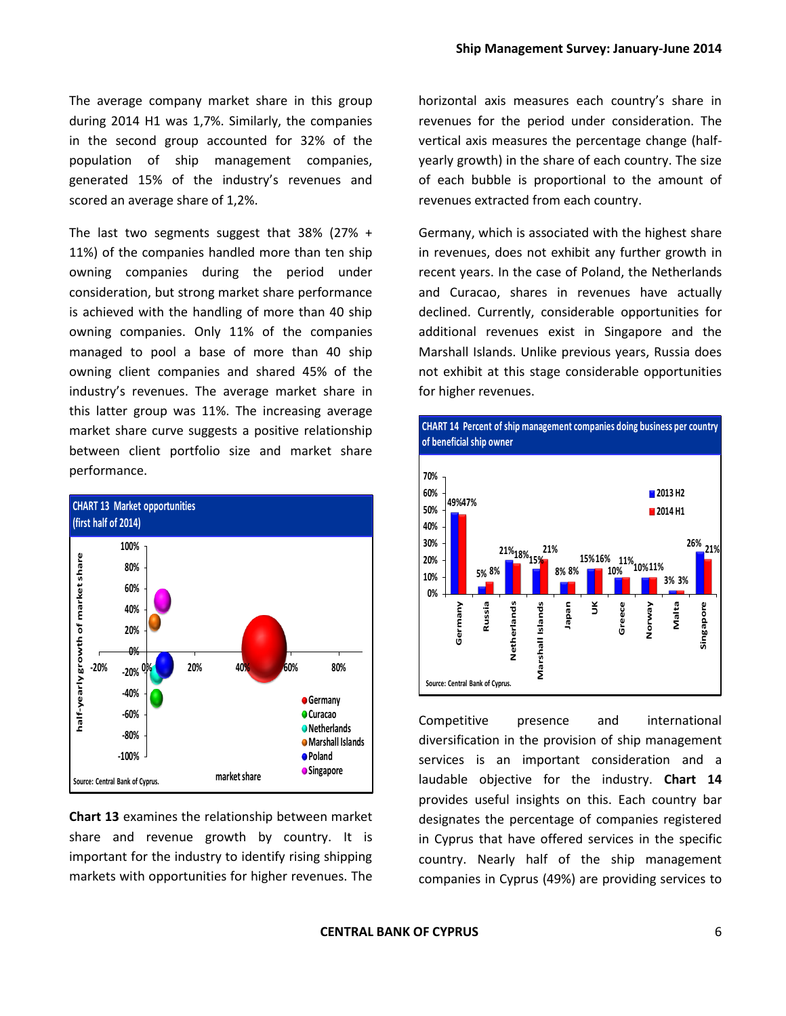The average company market share in this group during 2014 H1 was 1,7%. Similarly, the companies in the second group accounted for 32% of the population of ship management companies, generated 15% of the industry's revenues and scored an average share of 1,2%.

The last two segments suggest that 38% (27% + 11%) of the companies handled more than ten ship owning companies during the period under consideration, but strong market share performance is achieved with the handling of more than 40 ship owning companies. Only 11% of the companies managed to pool a base of more than 40 ship owning client companies and shared 45% of the industry's revenues. The average market share in this latter group was 11%. The increasing average market share curve suggests a positive relationship between client portfolio size and market share performance.



**Chart 13** examines the relationship between market share and revenue growth by country. It is important for the industry to identify rising shipping markets with opportunities for higher revenues. The horizontal axis measures each country's share in revenues for the period under consideration. The vertical axis measures the percentage change (halfyearly growth) in the share of each country. The size of each bubble is proportional to the amount of revenues extracted from each country.

Germany, which is associated with the highest share in revenues, does not exhibit any further growth in recent years. In the case of Poland, the Netherlands and Curacao, shares in revenues have actually declined. Currently, considerable opportunities for additional revenues exist in Singapore and the Marshall Islands. Unlike previous years, Russia does not exhibit at this stage considerable opportunities for higher revenues.



Competitive presence and international diversification in the provision of ship management services is an important consideration and a laudable objective for the industry. **Chart 14** provides useful insights on this. Each country bar designates the percentage of companies registered in Cyprus that have offered services in the specific country. Nearly half of the ship management companies in Cyprus (49%) are providing services to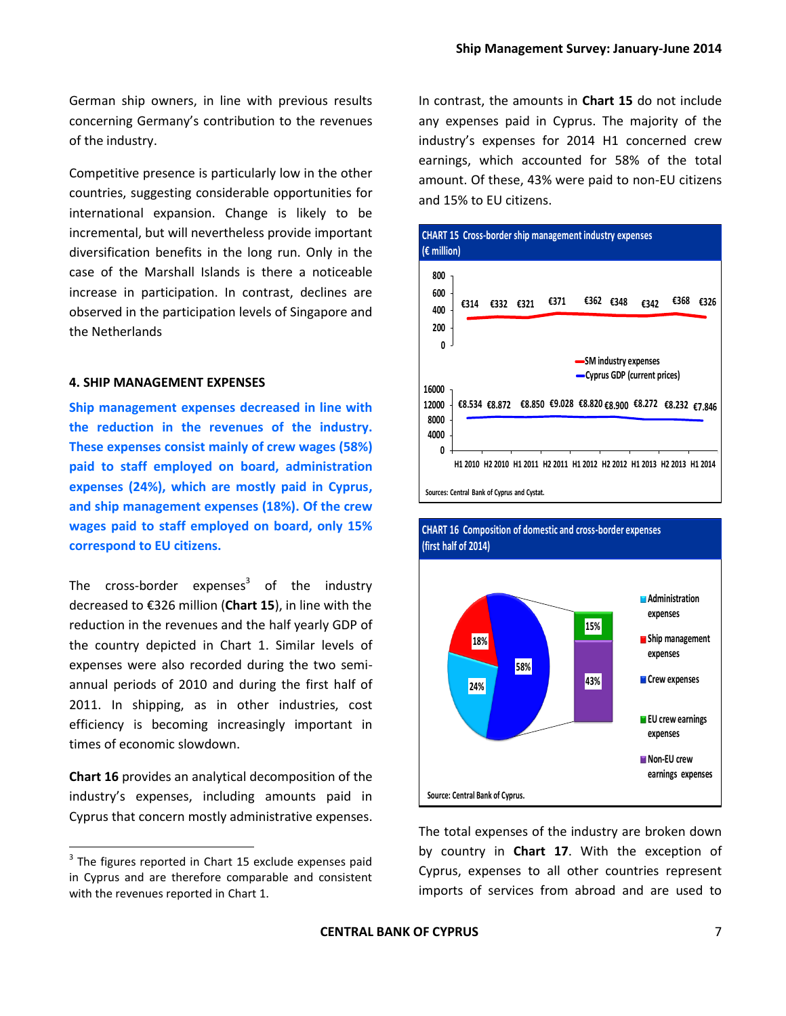German ship owners, in line with previous results concerning Germany's contribution to the revenues of the industry.

Competitive presence is particularly low in the other countries, suggesting considerable opportunities for international expansion. Change is likely to be incremental, but will nevertheless provide important diversification benefits in the long run. Only in the case of the Marshall Islands is there a noticeable increase in participation. In contrast, declines are observed in the participation levels of Singapore and the Netherlands

#### **4. SHIP MANAGEMENT EXPENSES**

**Ship management expenses decreased in line with the reduction in the revenues of the industry. These expenses consist mainly of crew wages (58%) paid to staff employed on board, administration expenses (24%), which are mostly paid in Cyprus, and ship management expenses (18%). Of the crew wages paid to staff employed on board, only 15% correspond to EU citizens.**

The cross-border expenses<sup>3</sup> of the industry decreased to €326 million (**Chart 15**), in line with the reduction in the revenues and the half yearly GDP of the country depicted in Chart 1. Similar levels of expenses were also recorded during the two semiannual periods of 2010 and during the first half of 2011. In shipping, as in other industries, cost efficiency is becoming increasingly important in times of economic slowdown.

**Chart 16** provides an analytical decomposition of the industry's expenses, including amounts paid in Cyprus that concern mostly administrative expenses.

 $\overline{a}$ 

In contrast, the amounts in **Chart 15** do not include any expenses paid in Cyprus. The majority of the industry's expenses for 2014 H1 concerned crew earnings, which accounted for 58% of the total amount. Of these, 43% were paid to non-EU citizens and 15% to EU citizens.





#### **CHART 16 Composition of domestic and cross-border expenses (first half of 2014)**

The total expenses of the industry are broken down by country in **Chart 17**. With the exception of Cyprus, expenses to all other countries represent imports of services from abroad and are used to

 $3$  The figures reported in Chart 15 exclude expenses paid in Cyprus and are therefore comparable and consistent with the revenues reported in Chart 1.